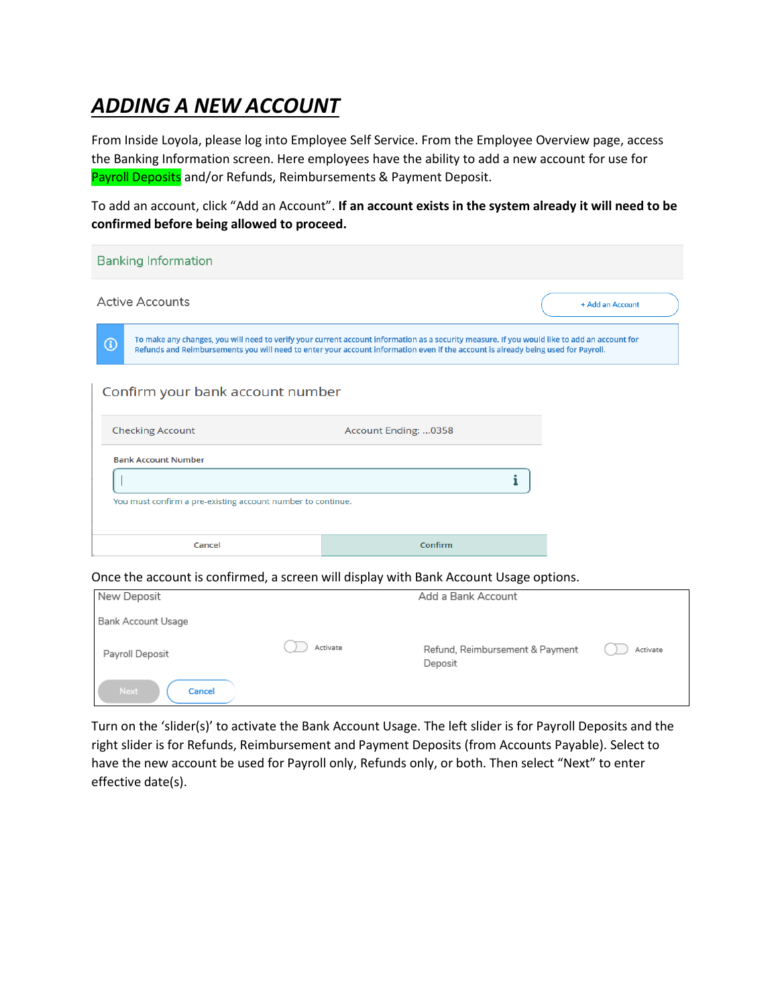## *ADDING A NEW ACCOUNT*

From Inside Loyola, please log into Employee Self Service. From the Employee Overview page, access the Banking Information screen. Here employees have the ability to add a new account for use for Payroll Deposits and/or Refunds, Reimbursements & Payment Deposit.

To add an account, click "Add an Account". **If an account exists in the system already it will need to be confirmed before being allowed to proceed.**

| <b>Banking Information</b>                                  |                                                                                                                                                                                                                                                                                   |                  |
|-------------------------------------------------------------|-----------------------------------------------------------------------------------------------------------------------------------------------------------------------------------------------------------------------------------------------------------------------------------|------------------|
| <b>Active Accounts</b>                                      |                                                                                                                                                                                                                                                                                   | + Add an Account |
| $\odot$                                                     | To make any changes, you will need to verify your current account information as a security measure. If you would like to add an account for<br>Refunds and Reimbursements you will need to enter your account information even if the account is already being used for Payroll. |                  |
| Confirm your bank account number                            |                                                                                                                                                                                                                                                                                   |                  |
| <b>Checking Account</b>                                     | Account Ending:  0358                                                                                                                                                                                                                                                             |                  |
| <b>Bank Account Number</b>                                  |                                                                                                                                                                                                                                                                                   |                  |
|                                                             |                                                                                                                                                                                                                                                                                   |                  |
| You must confirm a pre-existing account number to continue. |                                                                                                                                                                                                                                                                                   |                  |
|                                                             |                                                                                                                                                                                                                                                                                   |                  |
| Cancel                                                      | Confirm                                                                                                                                                                                                                                                                           |                  |
|                                                             |                                                                                                                                                                                                                                                                                   |                  |

Once the account is confirmed, a screen will display with Bank Account Usage options.

| New Deposit           |          | Add a Bank Account                         |          |
|-----------------------|----------|--------------------------------------------|----------|
| Bank Account Usage    |          |                                            |          |
| Payroll Deposit       | Activate | Refund, Reimbursement & Payment<br>Deposit | Activate |
| <b>Next</b><br>Cancel |          |                                            |          |

Turn on the 'slider(s)' to activate the Bank Account Usage. The left slider is for Payroll Deposits and the right slider is for Refunds, Reimbursement and Payment Deposits (from Accounts Payable). Select to have the new account be used for Payroll only, Refunds only, or both. Then select "Next" to enter effective date(s).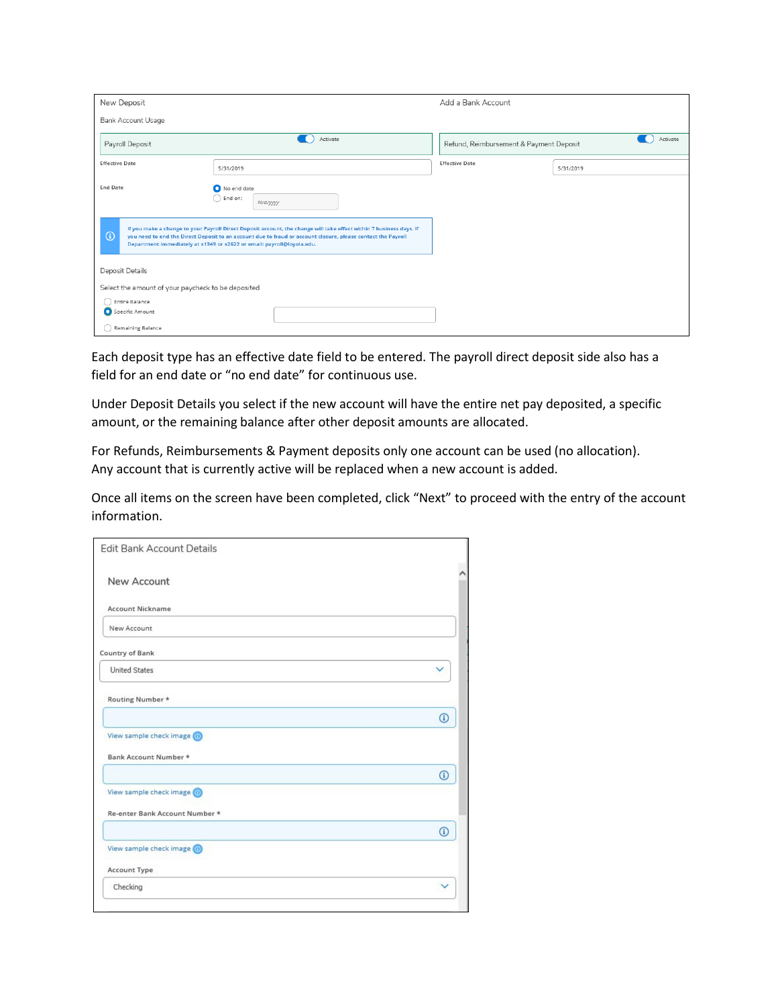| New Deposit                                        |                                                                                                                                                                                                                                                                                                               | Add a Bank Account                      |           |
|----------------------------------------------------|---------------------------------------------------------------------------------------------------------------------------------------------------------------------------------------------------------------------------------------------------------------------------------------------------------------|-----------------------------------------|-----------|
|                                                    |                                                                                                                                                                                                                                                                                                               |                                         |           |
| Bank Account Usage                                 |                                                                                                                                                                                                                                                                                                               |                                         |           |
| Payroll Deposit                                    | Activate                                                                                                                                                                                                                                                                                                      | Refund, Reimbursement & Payment Deposit | Activate  |
| <b>Effective Date</b>                              | 5/31/2019                                                                                                                                                                                                                                                                                                     | <b>Effective Date</b>                   | 5/31/2019 |
| <b>End Date</b>                                    | No end date<br>$\bigcap$ End on:<br>M/d/yyyy                                                                                                                                                                                                                                                                  |                                         |           |
| $\circ$                                            | If you make a change to your Payroll Direct Deposit account, the change will take effect within 7 business days. If<br>you need to end the Direct Deposit to an account due to fraud or account closure, please contact the Payroll<br>Department immediately at x1349 or x2622 or email: payroll@loyola.edu. |                                         |           |
| Deposit Details                                    |                                                                                                                                                                                                                                                                                                               |                                         |           |
| Select the amount of your paycheck to be deposited |                                                                                                                                                                                                                                                                                                               |                                         |           |
| Entire Balance<br>Specific Amount                  |                                                                                                                                                                                                                                                                                                               |                                         |           |
| <b>Remaining Balance</b>                           |                                                                                                                                                                                                                                                                                                               |                                         |           |

Each deposit type has an effective date field to be entered. The payroll direct deposit side also has a field for an end date or "no end date" for continuous use.

Under Deposit Details you select if the new account will have the entire net pay deposited, a specific amount, or the remaining balance after other deposit amounts are allocated.

For Refunds, Reimbursements & Payment deposits only one account can be used (no allocation). Any account that is currently active will be replaced when a new account is added.

Once all items on the screen have been completed, click "Next" to proceed with the entry of the account information.

| <b>Edit Bank Account Details</b> |         |
|----------------------------------|---------|
| New Account                      |         |
| Account Nickname                 |         |
| New Account                      |         |
| Country of Bank                  |         |
| <b>United States</b>             |         |
| Routing Number *                 |         |
|                                  | $\odot$ |
| View sample check image (0)      |         |
| Bank Account Number *            |         |
|                                  | $\odot$ |
| View sample check image (0)      |         |
| Re-enter Bank Account Number *   |         |
|                                  | $\odot$ |
| View sample check image (6)      |         |
| <b>Account Type</b>              |         |
| Checking                         |         |